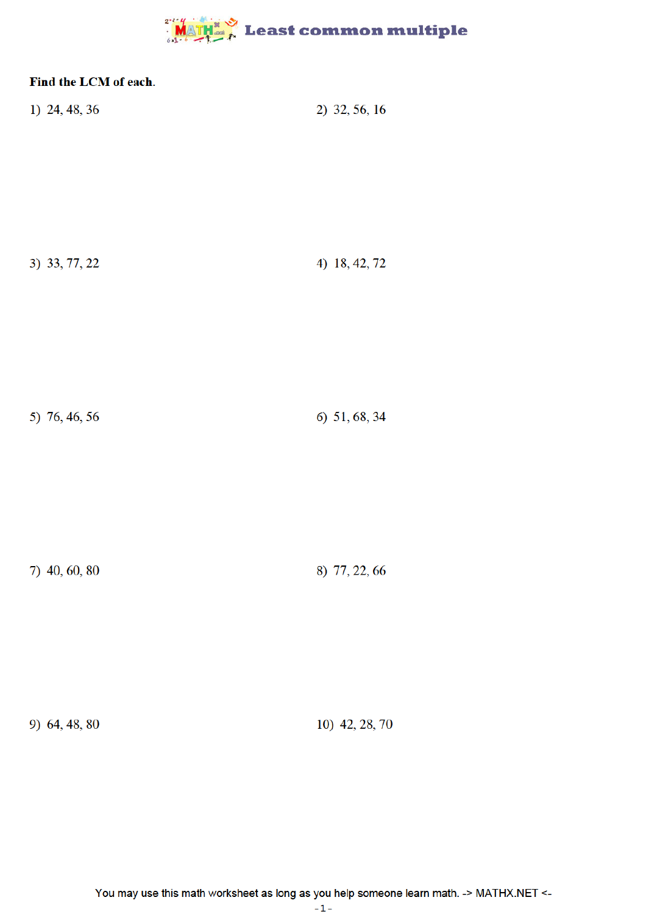## **MATH & Least common multiple**

| Find the LCM of each. |                |
|-----------------------|----------------|
| 1) 24, 48, 36         | 2) 32, 56, 16  |
| 3) 33, 77, 22         | 4) 18, 42, 72  |
| 5) 76, 46, 56         | 6) 51, 68, 34  |
| 7) 40, 60, 80         | 8) 77, 22, 66  |
| 9) 64, 48, 80         | 10) 42, 28, 70 |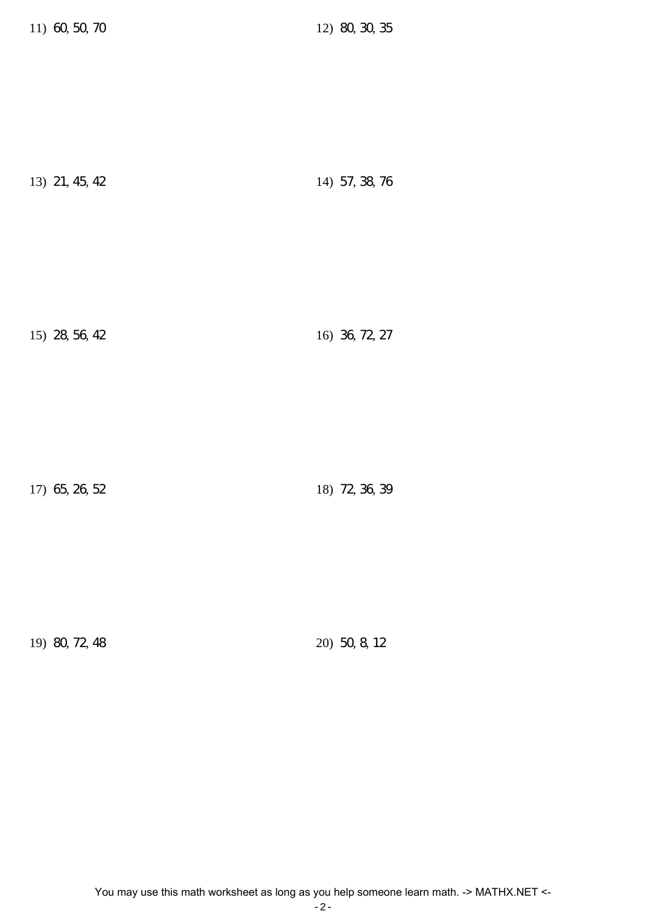| 13) 21, 45, 42 | 14) 57, 38, 76 |
|----------------|----------------|
|----------------|----------------|

15) 28, 56, 42 16) 36, 72, 27

17) 65, 26, 52 18) 72, 36, 39

19) 80, 72, 48 20) 50, 8, 12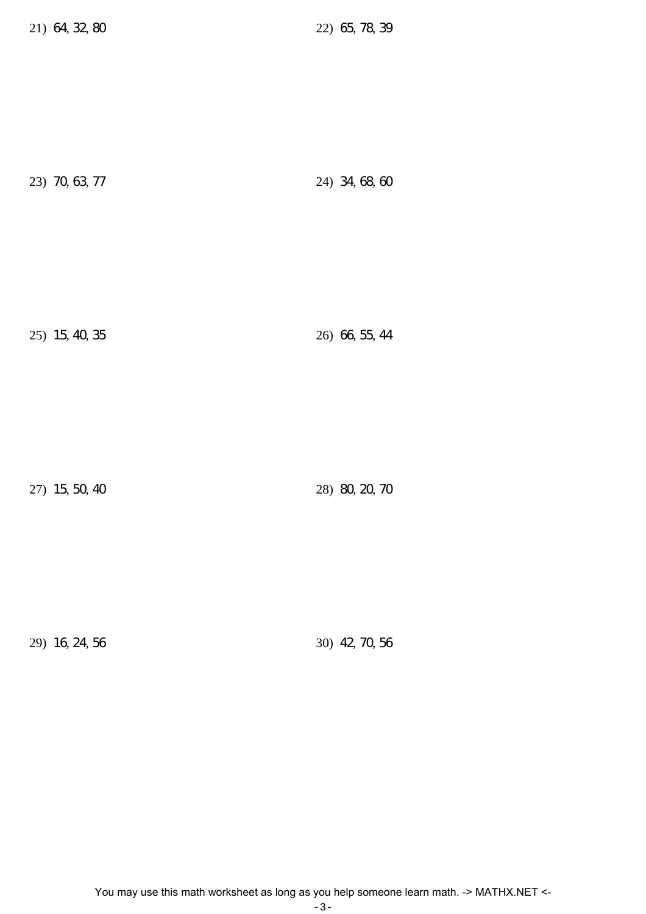23) 70, 63, 77 24) 34, 68, 60

25) 15, 40, 35 26) 66, 55, 44

27) 15, 50, 40 28) 80, 20, 70

29) 16, 24, 56 30) 42, 70, 56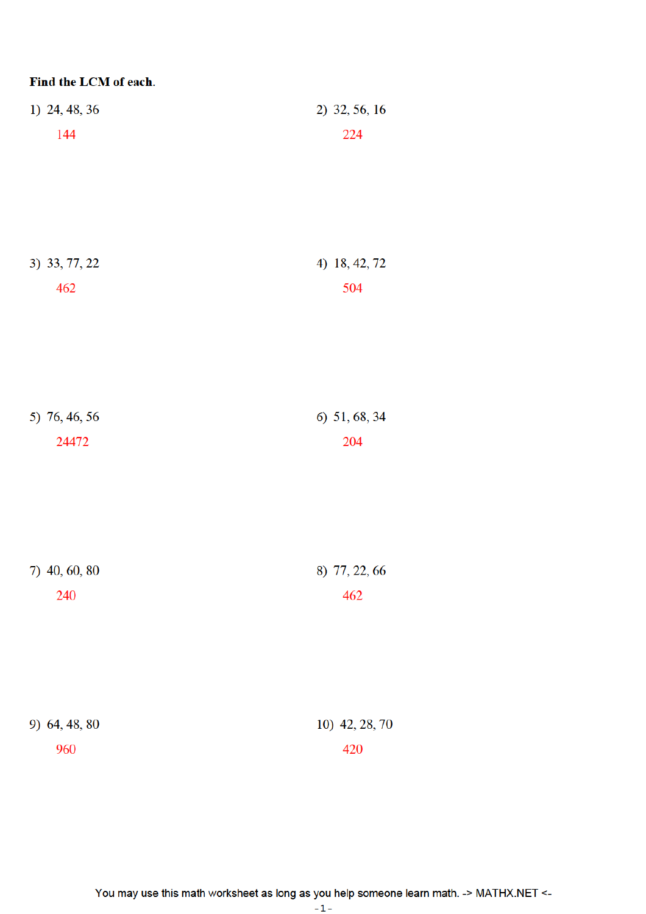| Find the LCM of each.  |                      |
|------------------------|----------------------|
| 1) 24, 48, 36          | 2) 32, 56, 16        |
| 144                    | 224                  |
|                        |                      |
|                        |                      |
|                        |                      |
| 3) 33, 77, 22          | 4) 18, 42, 72        |
| 462                    | 504                  |
|                        |                      |
|                        |                      |
|                        |                      |
|                        |                      |
| 5) 76, 46, 56<br>24472 | 6) 51, 68, 34<br>204 |
|                        |                      |
|                        |                      |
|                        |                      |
|                        |                      |
| 7) 40, 60, 80          | 8) 77, 22, 66        |
| 240                    | 462                  |
|                        |                      |
|                        |                      |
|                        |                      |
| 9) 64, 48, 80          | 10) 42, 28, 70       |
| 960                    | 420                  |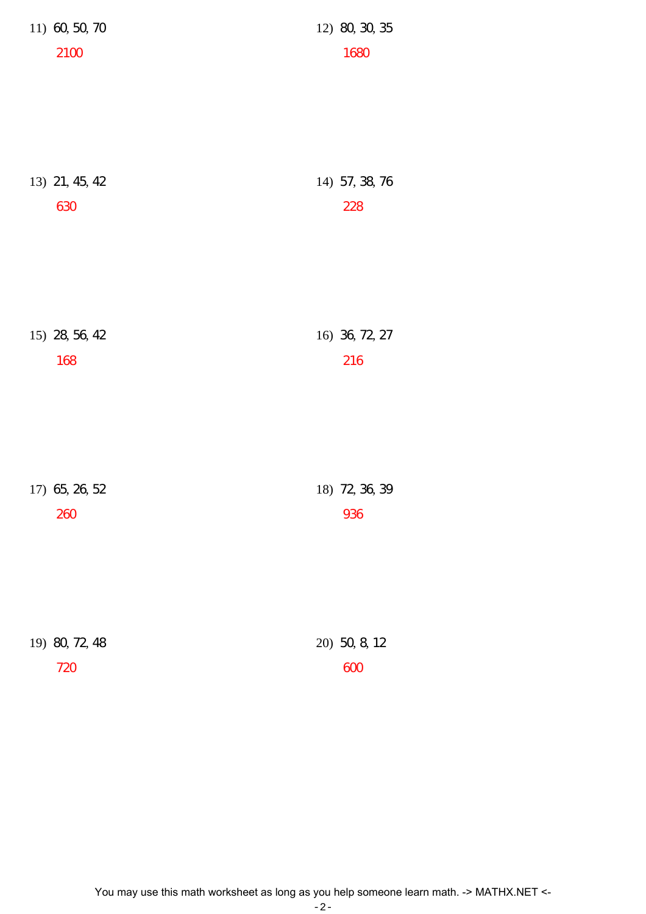| 11) 60, 50, 70 | 12) 80, 30, 35 |
|----------------|----------------|
| 2100           | 1680           |
| 13) 21, 45, 42 | 14) 57, 38, 76 |
| 630            | 228            |
| 15) 28, 56, 42 | 16) 36, 72, 27 |
| 168            | 216            |
| 17) 65, 26, 52 | 18) 72, 36, 39 |
| 260            | 936            |
| 19) 80, 72, 48 | 20) 50, 8, 12  |
| 720            | 600            |